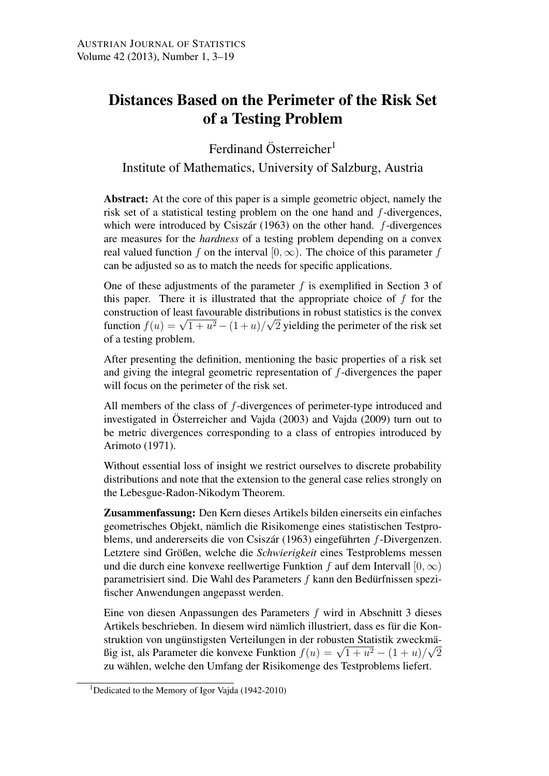# Distances Based on the Perimeter of the Risk Set of a Testing Problem

Ferdinand Österreicher $<sup>1</sup>$ </sup>

Institute of Mathematics, University of Salzburg, Austria

Abstract: At the core of this paper is a simple geometric object, namely the risk set of a statistical testing problem on the one hand and *f*-divergences, which were introduced by Csiszár (1963) on the other hand. *f*-divergences are measures for the *hardness* of a testing problem depending on a convex real valued function *f* on the interval  $[0, \infty)$ . The choice of this parameter *f* can be adjusted so as to match the needs for specific applications.

One of these adjustments of the parameter *f* is exemplified in Section 3 of this paper. There it is illustrated that the appropriate choice of *f* for the construction of least favourable distributions in robust statistics is the convex *√* function *f*(*u*) =  $\sqrt{1+u^2} - (1+u)/\sqrt{2}$  yielding the perimeter of the risk set of a testing problem.

After presenting the definition, mentioning the basic properties of a risk set and giving the integral geometric representation of *f*-divergences the paper will focus on the perimeter of the risk set.

All members of the class of *f*-divergences of perimeter-type introduced and investigated in Österreicher and Vajda (2003) and Vajda (2009) turn out to be metric divergences corresponding to a class of entropies introduced by Arimoto (1971).

Without essential loss of insight we restrict ourselves to discrete probability distributions and note that the extension to the general case relies strongly on the Lebesgue-Radon-Nikodym Theorem.

Zusammenfassung: Den Kern dieses Artikels bilden einerseits ein einfaches geometrisches Objekt, nämlich die Risikomenge eines statistischen Testproblems, und andererseits die von Csiszár (1963) eingeführten *f*-Divergenzen. Letztere sind Größen, welche die *Schwierigkeit* eines Testproblems messen und die durch eine konvexe reellwertige Funktion *f* auf dem Intervall [0*,∞*) parametrisiert sind. Die Wahl des Parameters *f* kann den Bedurfnissen spezi- ¨ fischer Anwendungen angepasst werden.

Eine von diesen Anpassungen des Parameters *f* wird in Abschnitt 3 dieses Artikels beschrieben. In diesem wird nämlich illustriert, dass es für die Konstruktion von ungünstigsten Verteilungen in der robusten Statistik zweckmästruktion von unguistigsten vertenungen in der robusten statistik zwecklina-<br>Big ist, als Parameter die konvexe Funktion  $f(u) = \sqrt{1 + u^2} - (1 + u)/\sqrt{2}$ zu wählen, welche den Umfang der Risikomenge des Testproblems liefert.

<sup>&</sup>lt;sup>1</sup>Dedicated to the Memory of Igor Vajda (1942-2010)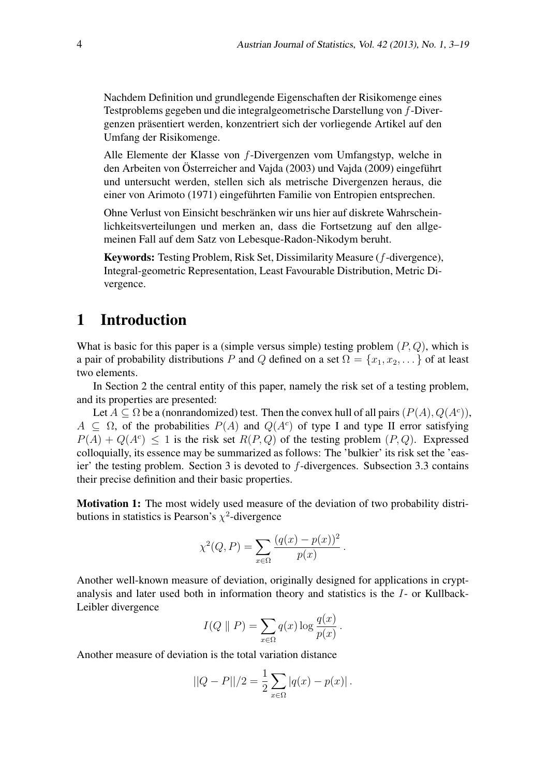Nachdem Definition und grundlegende Eigenschaften der Risikomenge eines Testproblems gegeben und die integralgeometrische Darstellung von *f*-Divergenzen präsentiert werden, konzentriert sich der vorliegende Artikel auf den Umfang der Risikomenge.

Alle Elemente der Klasse von *f*-Divergenzen vom Umfangstyp, welche in den Arbeiten von Österreicher and Vajda (2003) und Vajda (2009) eingeführt und untersucht werden, stellen sich als metrische Divergenzen heraus, die einer von Arimoto (1971) eingeführten Familie von Entropien entsprechen.

Ohne Verlust von Einsicht beschranken wir uns hier auf diskrete Wahrschein- ¨ lichkeitsverteilungen und merken an, dass die Fortsetzung auf den allgemeinen Fall auf dem Satz von Lebesque-Radon-Nikodym beruht.

Keywords: Testing Problem, Risk Set, Dissimilarity Measure (*f*-divergence), Integral-geometric Representation, Least Favourable Distribution, Metric Divergence.

## 1 Introduction

What is basic for this paper is a (simple versus simple) testing problem (*P, Q*), which is a pair of probability distributions *P* and *Q* defined on a set  $\Omega = \{x_1, x_2, \dots\}$  of at least two elements.

In Section 2 the central entity of this paper, namely the risk set of a testing problem, and its properties are presented:

Let  $A \subseteq \Omega$  be a (nonrandomized) test. Then the convex hull of all pairs  $(P(A), Q(A^c))$ ,  $A \subseteq \Omega$ , of the probabilities  $P(A)$  and  $Q(A^c)$  of type I and type II error satisfying  $P(A) + Q(A^c) \le 1$  is the risk set  $R(P,Q)$  of the testing problem  $(P,Q)$ . Expressed colloquially, its essence may be summarized as follows: The 'bulkier' its risk set the 'easier' the testing problem. Section 3 is devoted to *f*-divergences. Subsection 3.3 contains their precise definition and their basic properties.

Motivation 1: The most widely used measure of the deviation of two probability distributions in statistics is Pearson's  $\chi^2$ -divergence

$$
\chi^{2}(Q, P) = \sum_{x \in \Omega} \frac{(q(x) - p(x))^{2}}{p(x)}.
$$

Another well-known measure of deviation, originally designed for applications in cryptanalysis and later used both in information theory and statistics is the *I*- or Kullback-Leibler divergence

$$
I(Q \parallel P) = \sum_{x \in \Omega} q(x) \log \frac{q(x)}{p(x)}.
$$

Another measure of deviation is the total variation distance

$$
||Q - P||/2 = \frac{1}{2} \sum_{x \in \Omega} |q(x) - p(x)|.
$$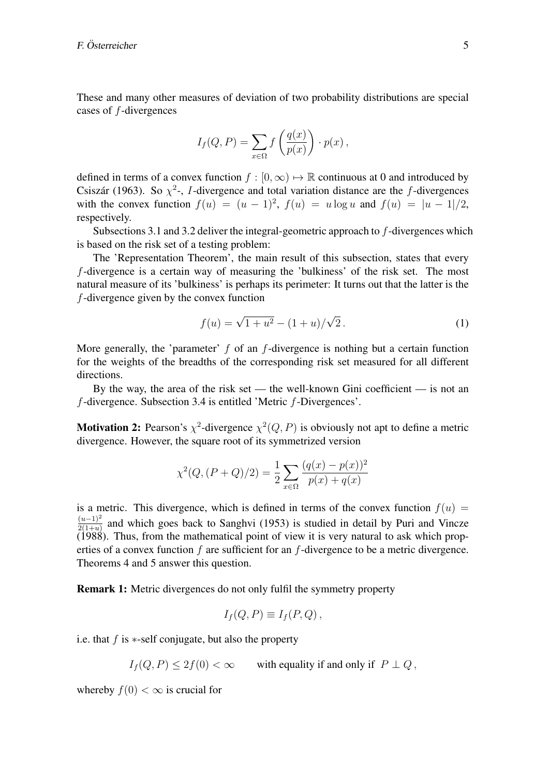These and many other measures of deviation of two probability distributions are special cases of *f*-divergences

$$
I_f(Q, P) = \sum_{x \in \Omega} f\left(\frac{q(x)}{p(x)}\right) \cdot p(x),
$$

defined in terms of a convex function  $f : [0, \infty) \mapsto \mathbb{R}$  continuous at 0 and introduced by Csiszár (1963). So  $\chi^2$ -, *I*-divergence and total variation distance are the *f*-divergences with the convex function  $f(u) = (u - 1)^2$ ,  $f(u) = u \log u$  and  $f(u) = |u - 1|/2$ , respectively.

Subsections 3.1 and 3.2 deliver the integral-geometric approach to *f*-divergences which is based on the risk set of a testing problem:

The 'Representation Theorem', the main result of this subsection, states that every *f*-divergence is a certain way of measuring the 'bulkiness' of the risk set. The most natural measure of its 'bulkiness' is perhaps its perimeter: It turns out that the latter is the *f*-divergence given by the convex function

$$
f(u) = \sqrt{1 + u^2} - (1 + u) / \sqrt{2}.
$$
 (1)

More generally, the 'parameter' *f* of an *f*-divergence is nothing but a certain function for the weights of the breadths of the corresponding risk set measured for all different directions.

By the way, the area of the risk set — the well-known Gini coefficient — is not an *f*-divergence. Subsection 3.4 is entitled 'Metric *f*-Divergences'.

**Motivation 2:** Pearson's  $\chi^2$ -divergence  $\chi^2(Q, P)$  is obviously not apt to define a metric divergence. However, the square root of its symmetrized version

$$
\chi^{2}(Q,(P+Q)/2) = \frac{1}{2} \sum_{x \in \Omega} \frac{(q(x) - p(x))^{2}}{p(x) + q(x)}
$$

is a metric. This divergence, which is defined in terms of the convex function  $f(u)$  = (*u−*1)<sup>2</sup>  $\frac{(u-1)^2}{2(1+u)}$  and which goes back to Sanghvi (1953) is studied in detail by Puri and Vincze (1988). Thus, from the mathematical point of view it is very natural to ask which properties of a convex function *f* are sufficient for an *f*-divergence to be a metric divergence. Theorems 4 and 5 answer this question.

Remark 1: Metric divergences do not only fulfil the symmetry property

$$
I_f(Q, P) \equiv I_f(P, Q) ,
$$

i.e. that *f* is *∗*-self conjugate, but also the property

 $I_f(Q, P) \leq 2f(0) < \infty$  with equality if and only if  $P \perp Q$ ,

whereby  $f(0) < \infty$  is crucial for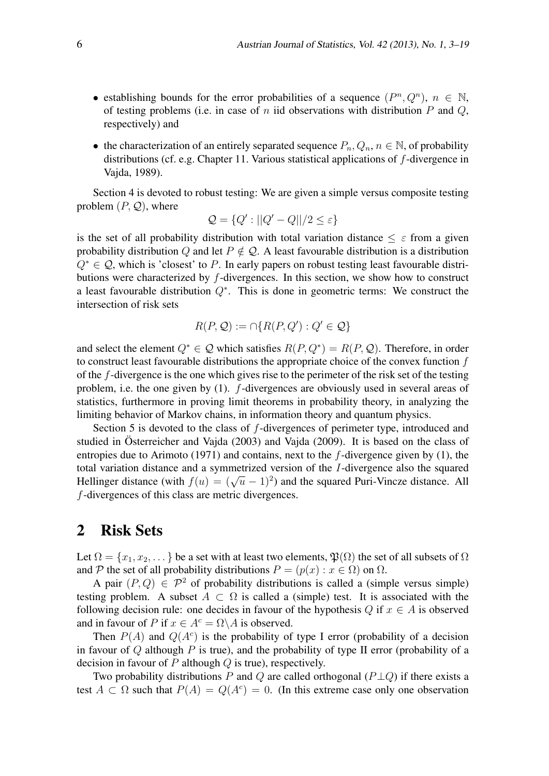- establishing bounds for the error probabilities of a sequence  $(P^n, Q^n)$ ,  $n \in \mathbb{N}$ , of testing problems (i.e. in case of *n* iid observations with distribution *P* and *Q*, respectively) and
- the characterization of an entirely separated sequence  $P_n, Q_n, n \in \mathbb{N}$ , of probability distributions (cf. e.g. Chapter 11. Various statistical applications of *f*-divergence in Vajda, 1989).

Section 4 is devoted to robust testing: We are given a simple versus composite testing problem  $(P, Q)$ , where

$$
\mathcal{Q} = \{Q': ||Q' - Q||/2 \le \varepsilon\}
$$

is the set of all probability distribution with total variation distance  $\leq \varepsilon$  from a given probability distribution *Q* and let  $P \notin \mathcal{Q}$ . A least favourable distribution is a distribution *Q<sup>∗</sup> ∈ Q*, which is 'closest' to *P*. In early papers on robust testing least favourable distributions were characterized by *f*-divergences. In this section, we show how to construct a least favourable distribution *Q<sup>∗</sup>* . This is done in geometric terms: We construct the intersection of risk sets

$$
R(P, \mathcal{Q}) := \cap \{ R(P, Q') : Q' \in \mathcal{Q} \}
$$

and select the element  $Q^* \in \mathcal{Q}$  which satisfies  $R(P, Q^*) = R(P, \mathcal{Q})$ . Therefore, in order to construct least favourable distributions the appropriate choice of the convex function *f* of the *f*-divergence is the one which gives rise to the perimeter of the risk set of the testing problem, i.e. the one given by (1). *f*-divergences are obviously used in several areas of statistics, furthermore in proving limit theorems in probability theory, in analyzing the limiting behavior of Markov chains, in information theory and quantum physics.

Section 5 is devoted to the class of *f*-divergences of perimeter type, introduced and studied in Österreicher and Vajda (2003) and Vajda (2009). It is based on the class of entropies due to Arimoto (1971) and contains, next to the *f*-divergence given by (1), the total variation distance and a symmetrized version of the *I*-divergence also the squared Hellinger distance (with  $f(u) = (\sqrt{u} - 1)^2$ ) and the squared Puri-Vincze distance. All *f*-divergences of this class are metric divergences.

## 2 Risk Sets

Let  $\Omega = \{x_1, x_2, \dots\}$  be a set with at least two elements,  $\mathfrak{P}(\Omega)$  the set of all subsets of  $\Omega$ and *P* the set of all probability distributions  $P = (p(x) : x \in \Omega)$  on  $\Omega$ .

A pair  $(P,Q) \in \mathcal{P}^2$  of probability distributions is called a (simple versus simple) testing problem. A subset  $A \subset \Omega$  is called a (simple) test. It is associated with the following decision rule: one decides in favour of the hypothesis  $Q$  if  $x \in A$  is observed and in favour of *P* if  $x \in A^c = \Omega \backslash A$  is observed.

Then  $P(A)$  and  $Q(A<sup>c</sup>)$  is the probability of type I error (probability of a decision in favour of *Q* although *P* is true), and the probability of type II error (probability of a decision in favour of *P* although *Q* is true), respectively.

Two probability distributions *P* and *Q* are called orthogonal (*P⊥Q*) if there exists a test  $A \subset \Omega$  such that  $P(A) = Q(A^c) = 0$ . (In this extreme case only one observation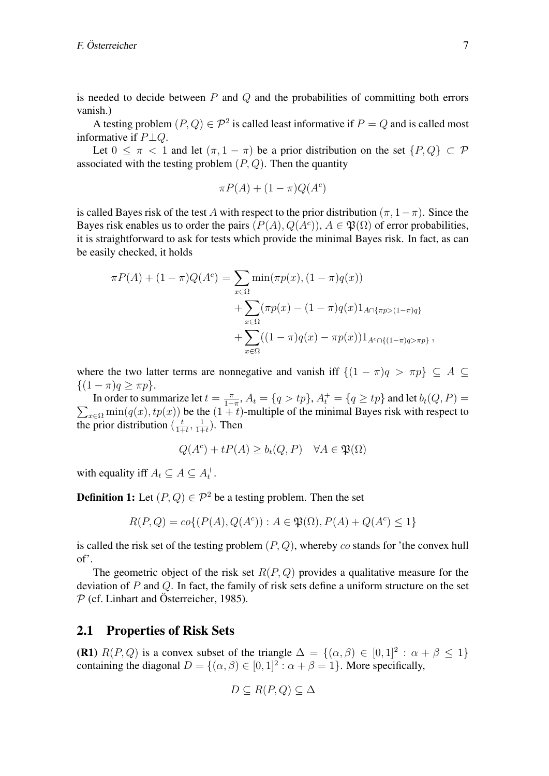is needed to decide between *P* and *Q* and the probabilities of committing both errors vanish.)

A testing problem  $(P,Q) \in \mathcal{P}^2$  is called least informative if  $P = Q$  and is called most informative if *P⊥Q*.

Let  $0 \leq \pi < 1$  and let  $(\pi, 1 - \pi)$  be a prior distribution on the set  $\{P, Q\} \subset \mathcal{P}$ associated with the testing problem (*P, Q*). Then the quantity

$$
\pi P(A) + (1 - \pi)Q(A^c)
$$

is called Bayes risk of the test *A* with respect to the prior distribution  $(\pi, 1 - \pi)$ . Since the Bayes risk enables us to order the pairs  $(P(A), Q(A^c))$ ,  $A \in \mathfrak{P}(\Omega)$  of error probabilities, it is straightforward to ask for tests which provide the minimal Bayes risk. In fact, as can be easily checked, it holds

$$
\pi P(A) + (1 - \pi) Q(A^{c}) = \sum_{x \in \Omega} \min(\pi p(x), (1 - \pi) q(x)) \n+ \sum_{x \in \Omega} (\pi p(x) - (1 - \pi) q(x) 1_{A \cap {\{\pi p > (1 - \pi) q\}}} \n+ \sum_{x \in \Omega} ((1 - \pi) q(x) - \pi p(x)) 1_{A^{c} \cap {(1 - \pi) q > \pi p}},
$$

where the two latter terms are nonnegative and vanish iff  $\{(1 - \pi)q > \pi p\} \subseteq A$ *{*(1 *− π*)*q ≥ πp}*.

In order to summarize let  $t = \frac{\pi}{1 - \pi}$  $\frac{\pi}{1-\pi}$ *,*  $A_t = \{q > tp\}$ *,*  $A_t^+ = \{q \geq tp\}$  *and let*  $b_t(Q, P) =$  $\sum_{x \in \Omega} \min(q(x), tp(x))$  be the  $(1 + t)$ -multiple of the minimal Bayes risk with respect to the prior distribution  $\left(\frac{t}{1+t}\right)$  $\frac{t}{1+t}$ ,  $\frac{1}{1+t}$  $\frac{1}{1+t}$ ). Then

$$
Q(A^c) + tP(A) \ge b_t(Q, P) \quad \forall A \in \mathfrak{P}(\Omega)
$$

with equality iff  $A_t \subseteq A \subseteq A_t^+$ .

**Definition 1:** Let  $(P, Q) \in \mathcal{P}^2$  be a testing problem. Then the set

$$
R(P,Q) = co\{(P(A), Q(A^c)) : A \in \mathfrak{P}(\Omega), P(A) + Q(A^c) \le 1\}
$$

is called the risk set of the testing problem (*P, Q*), whereby *co* stands for 'the convex hull of'.

The geometric object of the risk set *R*(*P, Q*) provides a qualitative measure for the deviation of *P* and *Q*. In fact, the family of risk sets define a uniform structure on the set  $P$  (cf. Linhart and Österreicher, 1985).

#### 2.1 Properties of Risk Sets

**(R1)**  $R(P,Q)$  is a convex subset of the triangle  $\Delta = \{(\alpha,\beta) \in [0,1]^2 : \alpha + \beta \leq 1\}$ containing the diagonal  $D = \{(\alpha, \beta) \in [0, 1]^2 : \alpha + \beta = 1\}$ . More specifically,

$$
D \subseteq R(P,Q) \subseteq \Delta
$$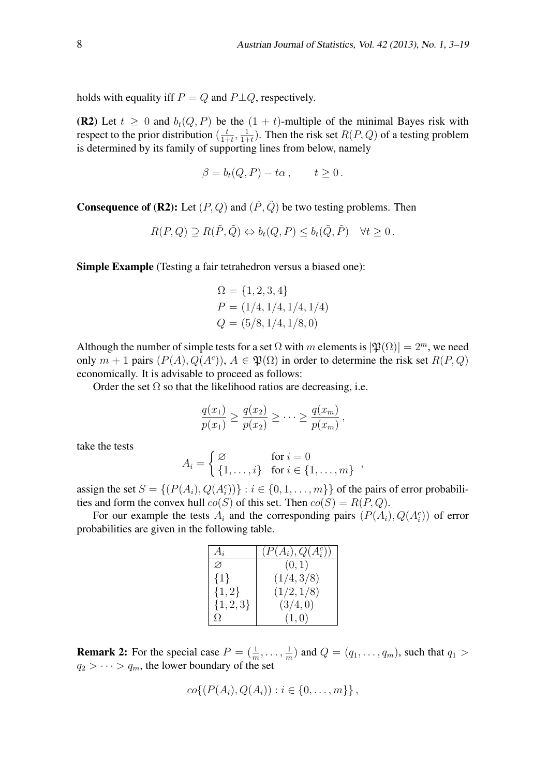holds with equality iff  $P = Q$  and  $P \perp Q$ , respectively.

**(R2)** Let  $t \geq 0$  and  $b_t(Q, P)$  be the  $(1 + t)$ -multiple of the minimal Bayes risk with respect to the prior distribution  $\left(\frac{t}{1+t}\right)$  $\frac{t}{1+t}$ ,  $\frac{1}{1+t}$  $\frac{1}{1+t}$ ). Then the risk set *R*(*P*, *Q*) of a testing problem is determined by its family of supporting lines from below, namely

$$
\beta = b_t(Q, P) - t\alpha, \qquad t \ge 0.
$$

**Consequence of (R2):** Let  $(P, Q)$  and  $(\tilde{P}, \tilde{Q})$  be two testing problems. Then

$$
R(P,Q) \supseteq R(\tilde{P},\tilde{Q}) \Leftrightarrow b_t(Q,P) \leq b_t(\tilde{Q},\tilde{P}) \quad \forall t \geq 0.
$$

Simple Example (Testing a fair tetrahedron versus a biased one):

$$
\Omega = \{1, 2, 3, 4\}
$$
  
\n
$$
P = (1/4, 1/4, 1/4, 1/4)
$$
  
\n
$$
Q = (5/8, 1/4, 1/8, 0)
$$

Although the number of simple tests for a set  $\Omega$  with *m* elements is  $|\mathfrak{P}(\Omega)| = 2^m$ , we need only  $m + 1$  pairs  $(P(A), Q(A<sup>c</sup>)), A \in \mathfrak{P}(\Omega)$  in order to determine the risk set  $R(P,Q)$ economically. It is advisable to proceed as follows:

Order the set  $\Omega$  so that the likelihood ratios are decreasing, i.e.

$$
\frac{q(x_1)}{p(x_1)} \ge \frac{q(x_2)}{p(x_2)} \ge \cdots \ge \frac{q(x_m)}{p(x_m)},
$$

take the tests

$$
A_i = \begin{cases} \varnothing & \text{for } i = 0\\ \{1, \ldots, i\} & \text{for } i \in \{1, \ldots, m\} \end{cases}
$$

assign the set  $S = \{(P(A_i), Q(A_i^c))\} : i \in \{0, 1, \dots, m\}\}$  of the pairs of error probabilities and form the convex hull  $co(S)$  of this set. Then  $co(S) = R(P,Q)$ .

For our example the tests  $A_i$  and the corresponding pairs  $(P(A_i), Q(A_i^c))$  of error probabilities are given in the following table.

| $A_i$         | $(P(A_i), Q(A_i^c))$ |
|---------------|----------------------|
| Ø             | (0,1)                |
| $\{1\}$       | (1/4,3/8)            |
| $\{1,2\}$     | (1/2, 1/8)           |
| $\{1, 2, 3\}$ | (3/4,0)              |
| Ω.            | (1,0)                |

**Remark 2:** For the special case  $P = (\frac{1}{m}, \dots, \frac{1}{m})$  $\frac{1}{m}$ ) and  $Q = (q_1, \ldots, q_m)$ , such that  $q_1 >$  $q_2$  >  $\cdots$  >  $q_m$ , the lower boundary of the set

$$
co\{(P(A_i), Q(A_i)) : i \in \{0, ..., m\}\},
$$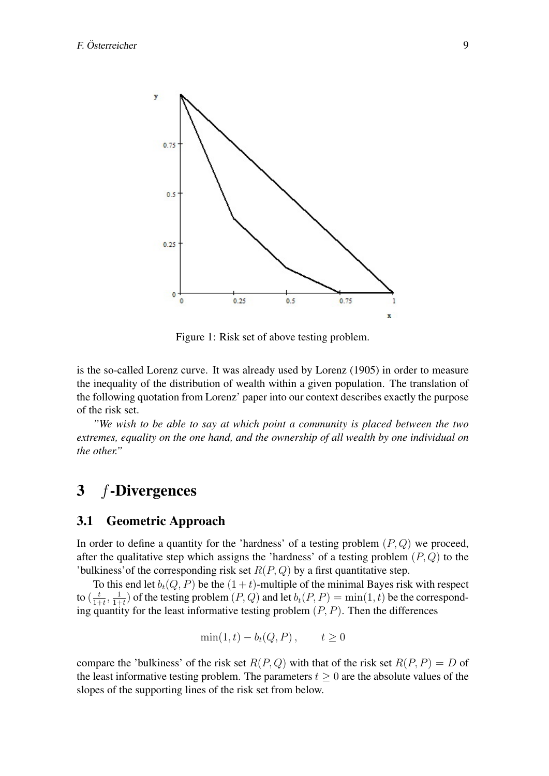

Figure 1: Risk set of above testing problem.

is the so-called Lorenz curve. It was already used by Lorenz (1905) in order to measure the inequality of the distribution of wealth within a given population. The translation of the following quotation from Lorenz' paper into our context describes exactly the purpose of the risk set.

*"We wish to be able to say at which point a community is placed between the two extremes, equality on the one hand, and the ownership of all wealth by one individual on the other."*

# 3 *f*-Divergences

### 3.1 Geometric Approach

In order to define a quantity for the 'hardness' of a testing problem (*P, Q*) we proceed, after the qualitative step which assigns the 'hardness' of a testing problem (*P, Q*) to the 'bulkiness' of the corresponding risk set  $R(P,Q)$  by a first quantitative step.

To this end let  $b_t(Q, P)$  be the  $(1 + t)$ -multiple of the minimal Bayes risk with respect to  $\left(\frac{t}{1+1}\right)$  $\frac{t}{1+t}$ <sup>,</sup>  $\frac{1}{1+t}$  $\frac{1}{1+t}$ ) of the testing problem  $(P,Q)$  and let  $b_t(P,P) = \min(1,t)$  be the corresponding quantity for the least informative testing problem (*P, P*). Then the differences

$$
\min(1, t) - b_t(Q, P) , \qquad t \ge 0
$$

compare the 'bulkiness' of the risk set  $R(P,Q)$  with that of the risk set  $R(P, P) = D$  of the least informative testing problem. The parameters  $t \geq 0$  are the absolute values of the slopes of the supporting lines of the risk set from below.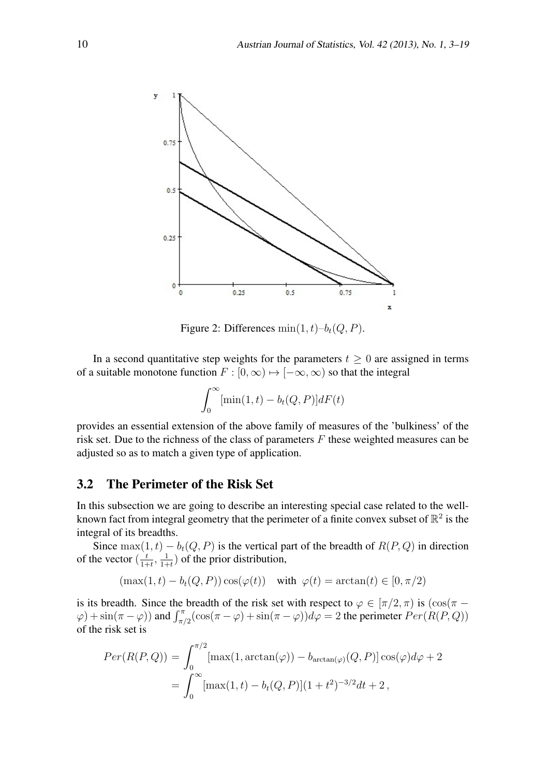

Figure 2: Differences  $min(1, t)-b_t(Q, P)$ .

In a second quantitative step weights for the parameters  $t \geq 0$  are assigned in terms of a suitable monotone function  $F : [0, \infty) \mapsto [-\infty, \infty)$  so that the integral

$$
\int_0^\infty [\min(1,t) - b_t(Q,P)]dF(t)
$$

provides an essential extension of the above family of measures of the 'bulkiness' of the risk set. Due to the richness of the class of parameters *F* these weighted measures can be adjusted so as to match a given type of application.

### 3.2 The Perimeter of the Risk Set

In this subsection we are going to describe an interesting special case related to the wellknown fact from integral geometry that the perimeter of a finite convex subset of  $\mathbb{R}^2$  is the integral of its breadths.

Since  $\max(1,t) - b_t(Q, P)$  is the vertical part of the breadth of  $R(P, Q)$  in direction of the vector  $\left(\frac{t}{1+t}\right)$  $\frac{t}{1+t}$ ,  $\frac{1}{1+t}$  $\frac{1}{1+t}$ ) of the prior distribution,

$$
(\max(1, t) - b_t(Q, P)) \cos(\varphi(t)) \quad \text{with } \varphi(t) = \arctan(t) \in [0, \pi/2)
$$

is its breadth. Since the breadth of the risk set with respect to  $\varphi \in [\pi/2, \pi)$  is  $(\cos(\pi \varphi$ ) + sin( $\pi$  *-*  $\varphi$ )) and  $\int_{\pi/2}^{\pi} (\cos(\pi - \varphi) + \sin(\pi - \varphi)) d\varphi = 2$  the perimeter  $Per(R(P, Q))$ of the risk set is

$$
Per(R(P,Q)) = \int_0^{\pi/2} [\max(1, \arctan(\varphi)) - b_{\arctan(\varphi)}(Q, P)] \cos(\varphi) d\varphi + 2
$$
  
= 
$$
\int_0^{\infty} [\max(1, t) - b_t(Q, P)] (1 + t^2)^{-3/2} dt + 2,
$$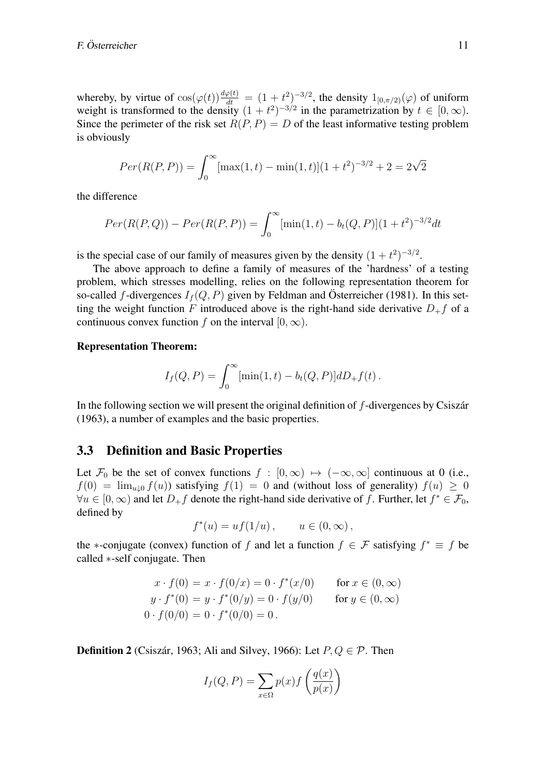whereby, by virtue of  $\cos(\varphi(t)) \frac{d\varphi(t)}{dt} = (1+t^2)^{-3/2}$ , the density  $1_{[0,\pi/2)}(\varphi)$  of uniform weight is transformed to the density  $(1 + t^2)^{-3/2}$  in the parametrization by  $t \in [0, \infty)$ . Since the perimeter of the risk set  $R(P, P) = D$  of the least informative testing problem is obviously

$$
Per(R(P, P)) = \int_0^\infty [\max(1, t) - \min(1, t)](1 + t^2)^{-3/2} + 2 = 2\sqrt{2}
$$

the difference

$$
Per(R(P,Q)) - Per(R(P,P)) = \int_0^\infty [\min(1,t) - b_t(Q,P)](1+t^2)^{-3/2}dt
$$

is the special case of our family of measures given by the density  $(1 + t^2)^{-3/2}$ .

The above approach to define a family of measures of the 'hardness' of a testing problem, which stresses modelling, relies on the following representation theorem for so-called *f*-divergences  $I_f(Q, P)$  given by Feldman and Österreicher (1981). In this setting the weight function *F* introduced above is the right-hand side derivative  $D_{+}f$  of a continuous convex function *f* on the interval  $[0, \infty)$ .

#### Representation Theorem:

$$
I_f(Q, P) = \int_0^\infty [\min(1, t) - b_t(Q, P)] dD_+ f(t).
$$

In the following section we will present the original definition of f-divergences by Csiszar (1963), a number of examples and the basic properties.

#### 3.3 Definition and Basic Properties

Let  $\mathcal{F}_0$  be the set of convex functions  $f : [0, \infty) \mapsto (-\infty, \infty]$  continuous at 0 (i.e.,  $f(0) = \lim_{u \downarrow 0} f(u)$  satisfying  $f(1) = 0$  and (without loss of generality)  $f(u) \ge 0$ *∀u*  $\in$  [0,  $\infty$ ) and let  $D_+f$  denote the right-hand side derivative of *f*. Further, let  $f^* \in \mathcal{F}_0$ , defined by

$$
f^*(u) = uf(1/u), \qquad u \in (0, \infty),
$$

the *\**-conjugate (convex) function of *f* and let a function  $f \in \mathcal{F}$  satisfying  $f^* \equiv f$  be called *∗*-self conjugate. Then

$$
x \cdot f(0) = x \cdot f(0/x) = 0 \cdot f^*(x/0) \quad \text{for } x \in (0, \infty)
$$
  

$$
y \cdot f^*(0) = y \cdot f^*(0/y) = 0 \cdot f(y/0) \quad \text{for } y \in (0, \infty)
$$
  

$$
0 \cdot f(0/0) = 0 \cdot f^*(0/0) = 0.
$$

**Definition 2** (Csiszár, 1963; Ali and Silvey, 1966): Let  $P, Q \in \mathcal{P}$ . Then

$$
I_f(Q, P) = \sum_{x \in \Omega} p(x) f\left(\frac{q(x)}{p(x)}\right)
$$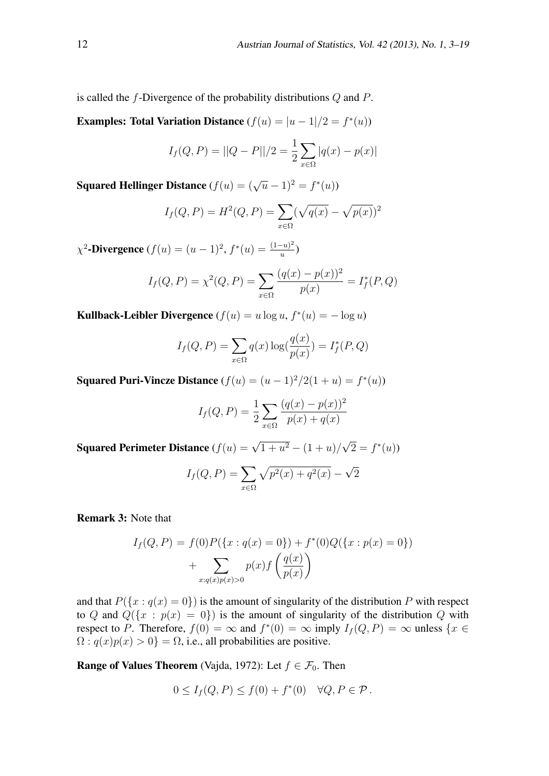is called the *f*-Divergence of the probability distributions *Q* and *P*.

Examples: Total Variation Distance  $(f(u) = |u - 1|/2 = f^*(u))$ 

$$
I_f(Q, P) = ||Q - P||/2 = \frac{1}{2} \sum_{x \in \Omega} |q(x) - p(x)|
$$

Squared Hellinger Distance  $(f(u) = (\sqrt{u} - 1)^2 = f^*(u))$ 

$$
I_f(Q, P) = H^2(Q, P) = \sum_{x \in \Omega} (\sqrt{q(x)} - \sqrt{p(x)})^2
$$

 $\chi^2$ -Divergence  $(f(u) = (u-1)^2, f^*(u) = \frac{(1-u)^2}{u}$  $\frac{-u)^2}{u}$ 

$$
I_f(Q, P) = \chi^2(Q, P) = \sum_{x \in \Omega} \frac{(q(x) - p(x))^2}{p(x)} = I_f^*(P, Q)
$$

Kullback-Leibler Divergence  $(f(u) = u \log u, f^*(u) = -\log u)$ 

$$
I_f(Q, P) = \sum_{x \in \Omega} q(x) \log(\frac{q(x)}{p(x)}) = I_f^*(P, Q)
$$

Squared Puri-Vincze Distance  $(f(u) = (u - 1)^2/2(1 + u) = f^*(u)$ 

$$
I_f(Q, P) = \frac{1}{2} \sum_{x \in \Omega} \frac{(q(x) - p(x))^2}{p(x) + q(x)}
$$

Squared Perimeter Distance  $(f(u) = \sqrt{1 + u^2} - (1 + u)$ *√*  $\overline{2} = f^*(u)$ 

$$
I_f(Q, P) = \sum_{x \in \Omega} \sqrt{p^2(x) + q^2(x)} - \sqrt{2}
$$

Remark 3: Note that

$$
I_f(Q, P) = f(0)P(\lbrace x : q(x) = 0 \rbrace) + f^*(0)Q(\lbrace x : p(x) = 0 \rbrace)
$$
  
+ 
$$
\sum_{x: q(x)p(x) > 0} p(x)f\left(\frac{q(x)}{p(x)}\right)
$$

and that  $P({x : q(x) = 0})$  is the amount of singularity of the distribution *P* with respect to *Q* and  $Q({x : p(x) = 0})$  is the amount of singularity of the distribution *Q* with respect to *P*. Therefore,  $f(0) = \infty$  and  $f^*(0) = \infty$  imply  $I_f(Q, P) = \infty$  unless  $\{x \in$  $\Omega$ :  $q(x)p(x) > 0$ } =  $\Omega$ , i.e., all probabilities are positive.

**Range of Values Theorem** (Vajda, 1972): Let  $f \in \mathcal{F}_0$ . Then

$$
0 \le I_f(Q, P) \le f(0) + f^*(0) \quad \forall Q, P \in \mathcal{P}.
$$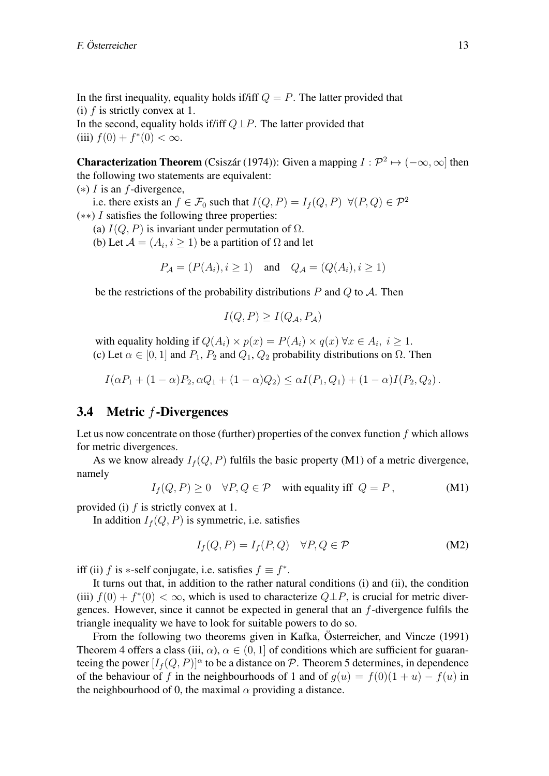In the first inequality, equality holds if/iff  $Q = P$ . The latter provided that (i) *f* is strictly convex at 1.

In the second, equality holds if/iff *Q⊥P*. The latter provided that (iii)  $f(0) + f^*(0) < \infty$ .

**Characterization Theorem** (Csiszár (1974)): Given a mapping  $I: \mathcal{P}^2 \mapsto (-\infty, \infty]$  then the following two statements are equivalent:

(*∗*) *I* is an *f*-divergence,

i.e. there exists an  $f \in \mathcal{F}_0$  such that  $I(Q, P) = I_f(Q, P) \ \forall (P, Q) \in \mathcal{P}^2$ 

(*∗∗*) *I* satisfies the following three properties:

(a)  $I(Q, P)$  is invariant under permutation of  $\Omega$ .

(b) Let  $\mathcal{A} = (A_i, i \geq 1)$  be a partition of  $\Omega$  and let

$$
P_{\mathcal{A}} = (P(A_i), i \ge 1) \quad \text{and} \quad Q_{\mathcal{A}} = (Q(A_i), i \ge 1)
$$

be the restrictions of the probability distributions *P* and *Q* to *A*. Then

$$
I(Q, P) \ge I(Q_{\mathcal{A}}, P_{\mathcal{A}})
$$

with equality holding if  $Q(A_i) \times p(x) = P(A_i) \times q(x) \forall x \in A_i, i \geq 1$ . (c) Let  $\alpha \in [0, 1]$  and  $P_1, P_2$  and  $Q_1, Q_2$  probability distributions on  $\Omega$ . Then

 $I(\alpha P_1 + (1 - \alpha)P_2, \alpha Q_1 + (1 - \alpha)Q_2) \leq \alpha I(P_1, Q_1) + (1 - \alpha)I(P_2, Q_2)$ .

### 3.4 Metric *f*-Divergences

Let us now concentrate on those (further) properties of the convex function *f* which allows for metric divergences.

As we know already  $I_f(Q, P)$  fulfils the basic property (M1) of a metric divergence, namely

$$
I_f(Q, P) \ge 0 \quad \forall P, Q \in \mathcal{P} \quad \text{with equality iff } Q = P, \tag{M1}
$$

provided (i) *f* is strictly convex at 1.

In addition  $I_f(Q, P)$  is symmetric, i.e. satisfies

$$
I_f(Q, P) = I_f(P, Q) \quad \forall P, Q \in \mathcal{P}
$$
 (M2)

iff (ii) *f* is *\**-self conjugate, i.e. satisfies  $f \equiv f^*$ .

It turns out that, in addition to the rather natural conditions (i) and (ii), the condition (iii)  $f(0) + f^*(0) < \infty$ , which is used to characterize  $Q \perp P$ , is crucial for metric divergences. However, since it cannot be expected in general that an *f*-divergence fulfils the triangle inequality we have to look for suitable powers to do so.

From the following two theorems given in Kafka, Österreicher, and Vincze (1991) Theorem 4 offers a class (iii,  $\alpha$ ),  $\alpha \in (0,1]$  of conditions which are sufficient for guaranteeing the power  $[I_f(Q, P)]^{\alpha}$  to be a distance on  $P$ . Theorem 5 determines, in dependence of the behaviour of *f* in the neighbourhoods of 1 and of  $g(u) = f(0)(1 + u) - f(u)$  in the neighbourhood of 0, the maximal  $\alpha$  providing a distance.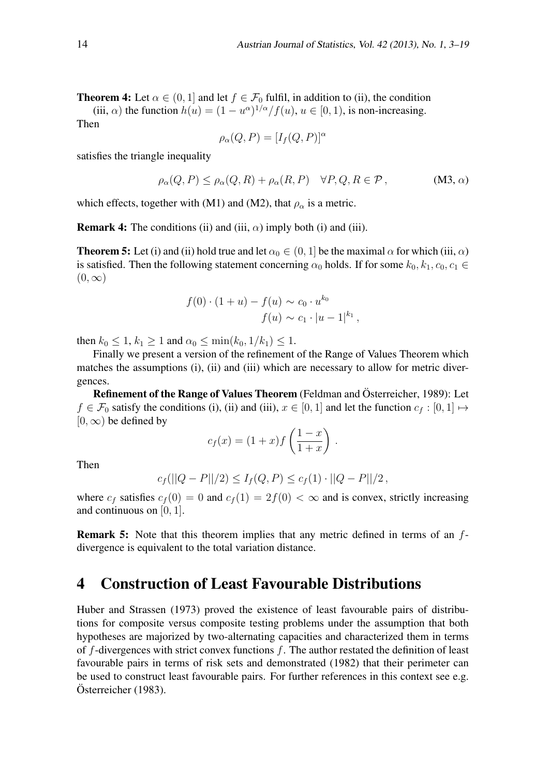**Theorem 4:** Let  $\alpha \in (0, 1]$  and let  $f \in \mathcal{F}_0$  fulfil, in addition to (ii), the condition

(iii,  $\alpha$ ) the function  $h(u) = (1 - u^{\alpha})^{1/\alpha}/f(u), u \in [0, 1)$ , is non-increasing.

Then

$$
\rho_{\alpha}(Q, P) = [I_f(Q, P)]^{\alpha}
$$

satisfies the triangle inequality

$$
\rho_{\alpha}(Q, P) \le \rho_{\alpha}(Q, R) + \rho_{\alpha}(R, P) \quad \forall P, Q, R \in \mathcal{P}, \tag{M3, \alpha}
$$

which effects, together with (M1) and (M2), that  $\rho_{\alpha}$  is a metric.

**Remark 4:** The conditions (ii) and (iii,  $\alpha$ ) imply both (i) and (iii).

**Theorem 5:** Let (i) and (ii) hold true and let  $\alpha_0 \in (0, 1]$  be the maximal  $\alpha$  for which (iii,  $\alpha$ ) is satisfied. Then the following statement concerning  $\alpha_0$  holds. If for some  $k_0, k_1, c_0, c_1 \in$  $(0, \infty)$ 

$$
f(0) \cdot (1 + u) - f(u) \sim c_0 \cdot u^{k_0}
$$
  
 $f(u) \sim c_1 \cdot |u - 1|^{k_1}$ ,

then  $k_0 \leq 1, k_1 \geq 1$  and  $\alpha_0 \leq \min(k_0, 1/k_1) \leq 1$ .

Finally we present a version of the refinement of the Range of Values Theorem which matches the assumptions (i), (ii) and (iii) which are necessary to allow for metric divergences.

Refinement of the Range of Values Theorem (Feldman and Österreicher, 1989): Let *f* ∈  $\mathcal{F}_0$  satisfy the conditions (i), (ii) and (iii),  $x \in [0, 1]$  and let the function  $c_f : [0, 1] \mapsto$  $[0, \infty)$  be defined by

$$
c_f(x) = (1+x)f\left(\frac{1-x}{1+x}\right)
$$

*.*

Then

$$
c_f(||Q - P||/2) \le I_f(Q, P) \le c_f(1) \cdot ||Q - P||/2
$$
,

where  $c_f$  satisfies  $c_f(0) = 0$  and  $c_f(1) = 2f(0) < \infty$  and is convex, strictly increasing and continuous on [0*,* 1].

Remark 5: Note that this theorem implies that any metric defined in terms of an *f*divergence is equivalent to the total variation distance.

## 4 Construction of Least Favourable Distributions

Huber and Strassen (1973) proved the existence of least favourable pairs of distributions for composite versus composite testing problems under the assumption that both hypotheses are majorized by two-alternating capacities and characterized them in terms of *f*-divergences with strict convex functions *f*. The author restated the definition of least favourable pairs in terms of risk sets and demonstrated (1982) that their perimeter can be used to construct least favourable pairs. For further references in this context see e.g. Österreicher (1983).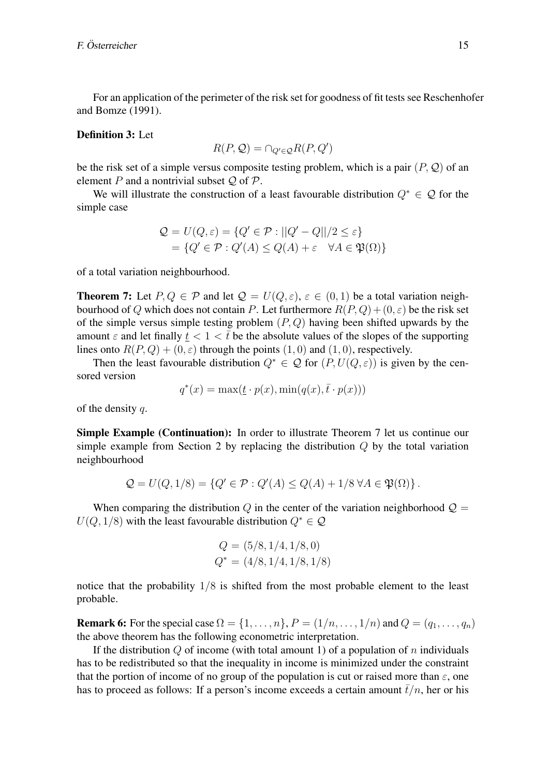For an application of the perimeter of the risk set for goodness of fit tests see Reschenhofer and Bomze (1991).

#### Definition 3: Let

$$
R(P, \mathcal{Q}) = \cap_{Q' \in \mathcal{Q}} R(P, Q')
$$

be the risk set of a simple versus composite testing problem, which is a pair (*P, Q*) of an element *P* and a nontrivial subset *Q* of *P*.

We will illustrate the construction of a least favourable distribution *Q<sup>∗</sup> ∈ Q* for the simple case

$$
Q = U(Q, \varepsilon) = \{Q' \in \mathcal{P} : ||Q' - Q||/2 \le \varepsilon\}
$$
  
=  $\{Q' \in \mathcal{P} : Q'(A) \le Q(A) + \varepsilon \quad \forall A \in \mathfrak{P}(\Omega)\}$ 

of a total variation neighbourhood.

**Theorem 7:** Let  $P, Q \in \mathcal{P}$  and let  $\mathcal{Q} = U(Q, \varepsilon), \varepsilon \in (0, 1)$  be a total variation neighbourhood of *Q* which does not contain *P*. Let furthermore  $R(P,Q) + (0,\varepsilon)$  be the risk set of the simple versus simple testing problem (*P, Q*) having been shifted upwards by the amount  $\varepsilon$  and let finally  $t < 1 < t$  be the absolute values of the slopes of the supporting lines onto  $R(P,Q) + (0,\varepsilon)$  through the points  $(1,0)$  and  $(1,0)$ , respectively.

Then the least favourable distribution  $Q^* \in \mathcal{Q}$  for  $(P, U(Q, \varepsilon))$  is given by the censored version

$$
q^*(x) = \max(\underline{t} \cdot p(x), \min(q(x), \overline{t} \cdot p(x)))
$$

of the density *q*.

Simple Example (Continuation): In order to illustrate Theorem 7 let us continue our simple example from Section 2 by replacing the distribution *Q* by the total variation neighbourhood

$$
\mathcal{Q} = U(Q, 1/8) = \{Q' \in \mathcal{P} : Q'(A) \le Q(A) + 1/8 \,\forall A \in \mathfrak{P}(\Omega)\}.
$$

When comparing the distribution  $Q$  in the center of the variation neighborhood  $Q =$  $U(Q, 1/8)$  with the least favourable distribution  $Q^* \in \mathcal{Q}$ 

$$
Q = (5/8, 1/4, 1/8, 0)
$$
  

$$
Q^* = (4/8, 1/4, 1/8, 1/8)
$$

notice that the probability 1*/*8 is shifted from the most probable element to the least probable.

**Remark 6:** For the special case  $\Omega = \{1, ..., n\}$ ,  $P = (1/n, ..., 1/n)$  and  $Q = (q_1, ..., q_n)$ the above theorem has the following econometric interpretation.

If the distribution *Q* of income (with total amount 1) of a population of *n* individuals has to be redistributed so that the inequality in income is minimized under the constraint that the portion of income of no group of the population is cut or raised more than  $\varepsilon$ , one has to proceed as follows: If a person's income exceeds a certain amount  $\bar{t}/n$ , her or his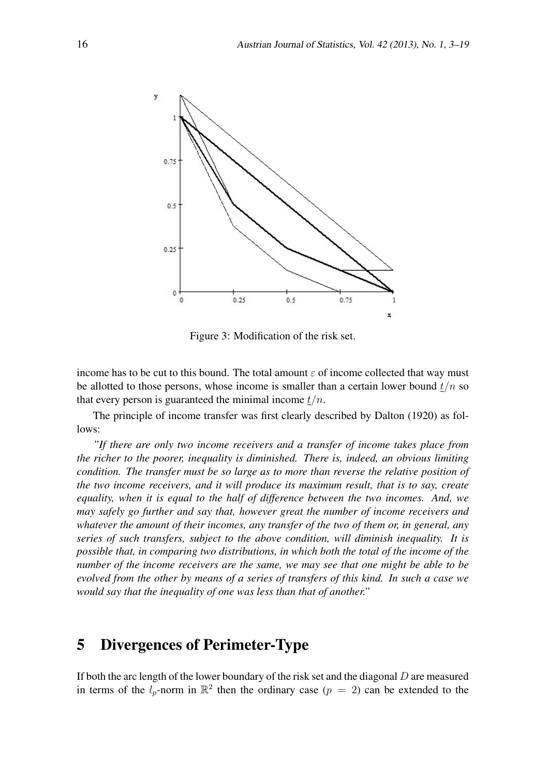

Figure 3: Modification of the risk set.

income has to be cut to this bound. The total amount  $\varepsilon$  of income collected that way must be allotted to those persons, whose income is smaller than a certain lower bound  $t/n$  so that every person is guaranteed the minimal income *t/n*.

The principle of income transfer was first clearly described by Dalton (1920) as follows:

*"If there are only two income receivers and a transfer of income takes place from the richer to the poorer, inequality is diminished. There is, indeed, an obvious limiting condition. The transfer must be so large as to more than reverse the relative position of the two income receivers, and it will produce its maximum result, that is to say, create equality, when it is equal to the half of difference between the two incomes. And, we may safely go further and say that, however great the number of income receivers and whatever the amount of their incomes, any transfer of the two of them or, in general, any series of such transfers, subject to the above condition, will diminish inequality. It is possible that, in comparing two distributions, in which both the total of the income of the number of the income receivers are the same, we may see that one might be able to be evolved from the other by means of a series of transfers of this kind. In such a case we would say that the inequality of one was less than that of another."*

# 5 Divergences of Perimeter-Type

If both the arc length of the lower boundary of the risk set and the diagonal *D* are measured in terms of the  $l_p$ -norm in  $\mathbb{R}^2$  then the ordinary case  $(p = 2)$  can be extended to the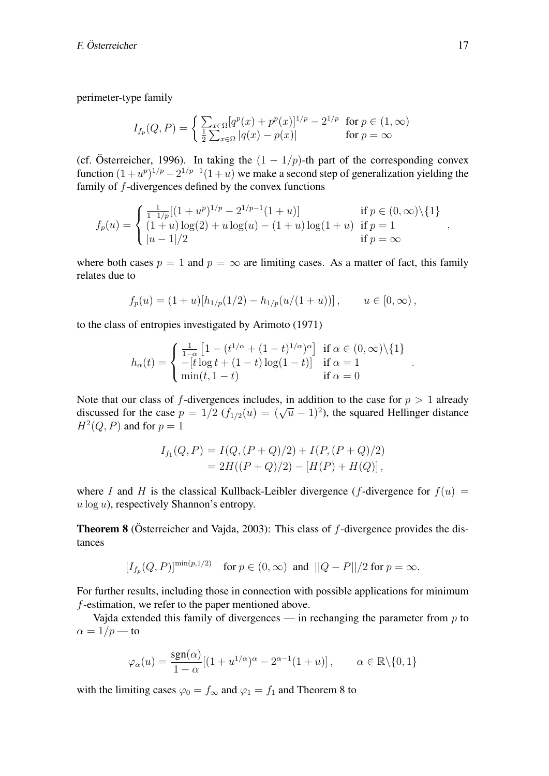perimeter-type family

$$
I_{f_p}(Q, P) = \begin{cases} \sum_{x \in \Omega} [q^p(x) + p^p(x)]^{1/p} - 2^{1/p} & \text{for } p \in (1, \infty) \\ \frac{1}{2} \sum_{x \in \Omega} |q(x) - p(x)| & \text{for } p = \infty \end{cases}
$$

(cf. Österreicher, 1996). In taking the  $(1 - 1/p)$ -th part of the corresponding convex function  $(1 + u^p)^{1/p} - 2^{1/p-1}(1 + u)$  we make a second step of generalization yielding the family of *f*-divergences defined by the convex functions

$$
f_p(u) = \begin{cases} \frac{1}{1-1/p} [(1+u^p)^{1/p} - 2^{1/p-1} (1+u)] & \text{if } p \in (0, \infty) \setminus \{1\} \\ (1+u) \log(2) + u \log(u) - (1+u) \log(1+u) & \text{if } p = 1 \\ |u-1|/2 & \text{if } p = \infty \end{cases}
$$

where both cases  $p = 1$  and  $p = \infty$  are limiting cases. As a matter of fact, this family relates due to

$$
f_p(u) = (1+u)[h_{1/p}(1/2) - h_{1/p}(u/(1+u))], \qquad u \in [0, \infty),
$$

to the class of entropies investigated by Arimoto (1971)

$$
h_\alpha(t)=\begin{cases} \frac{1}{1-\alpha}\left[1-(t^{1/\alpha}+(1-t)^{1/\alpha})^\alpha\right] \text{ if } \alpha\in (0,\infty)\backslash\{1\} \\ -[t\log t+(1-t)\log(1-t)] \text{ if } \alpha=1 \\ \min(t,1-t) \text{ if } \alpha=0 \end{cases}
$$

Note that our class of *f*-divergences includes, in addition to the case for  $p > 1$  already discussed for the case  $p = 1/2$  ( $f_{1/2}(u) = (\sqrt{u} - 1)^2$ ), the squared Hellinger distance  $H^2(Q, P)$  and for  $p = 1$ 

$$
I_{f_1}(Q, P) = I(Q, (P+Q)/2) + I(P, (P+Q)/2)
$$
  
=  $2H((P+Q)/2) - [H(P) + H(Q)],$ 

where *I* and *H* is the classical Kullback-Leibler divergence (*f*-divergence for  $f(u) =$ *u* log *u*), respectively Shannon's entropy.

**Theorem 8** (Österreicher and Vajda, 2003): This class of f-divergence provides the distances

$$
[I_{f_p}(Q, P)]^{\min(p, 1/2)}
$$
 for  $p \in (0, \infty)$  and  $||Q - P||/2$  for  $p = \infty$ .

For further results, including those in connection with possible applications for minimum *f*-estimation, we refer to the paper mentioned above.

Vajda extended this family of divergences — in rechanging the parameter from *p* to  $\alpha = 1/p$  — to

$$
\varphi_{\alpha}(u) = \frac{\text{sgn}(\alpha)}{1 - \alpha} [(1 + u^{1/\alpha})^{\alpha} - 2^{\alpha - 1}(1 + u)], \qquad \alpha \in \mathbb{R} \setminus \{0, 1\}
$$

with the limiting cases  $\varphi_0 = f_\infty$  and  $\varphi_1 = f_1$  and Theorem 8 to

*,*

*.*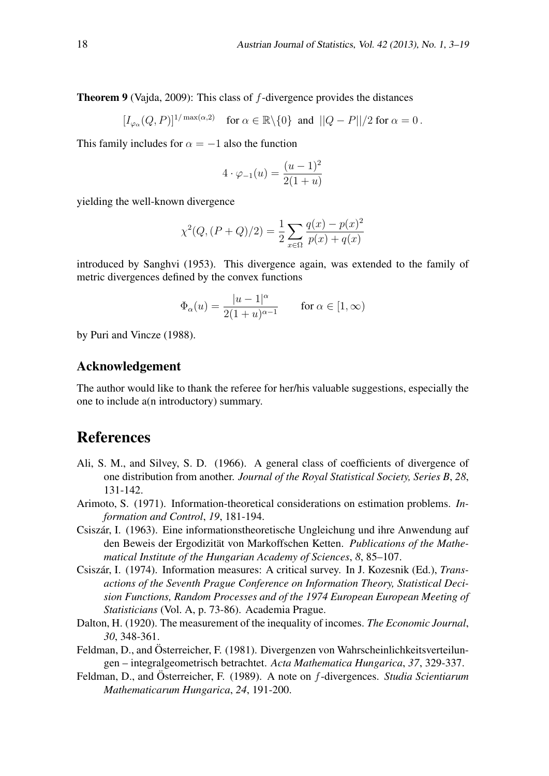Theorem 9 (Vajda, 2009): This class of *f*-divergence provides the distances

$$
[I_{\varphi_{\alpha}}(Q, P)]^{1/\max(\alpha, 2)} \quad \text{for } \alpha \in \mathbb{R} \setminus \{0\} \text{ and } ||Q - P||/2 \text{ for } \alpha = 0.
$$

This family includes for  $\alpha = -1$  also the function

$$
4 \cdot \varphi_{-1}(u) = \frac{(u-1)^2}{2(1+u)}
$$

yielding the well-known divergence

$$
\chi^{2}(Q,(P+Q)/2) = \frac{1}{2} \sum_{x \in \Omega} \frac{q(x) - p(x)^{2}}{p(x) + q(x)}
$$

introduced by Sanghvi (1953). This divergence again, was extended to the family of metric divergences defined by the convex functions

$$
\Phi_{\alpha}(u) = \frac{|u - 1|^{\alpha}}{2(1 + u)^{\alpha - 1}} \quad \text{for } \alpha \in [1, \infty)
$$

by Puri and Vincze (1988).

#### Acknowledgement

The author would like to thank the referee for her/his valuable suggestions, especially the one to include a(n introductory) summary.

# References

- Ali, S. M., and Silvey, S. D. (1966). A general class of coefficients of divergence of one distribution from another. *Journal of the Royal Statistical Society, Series B*, *28*, 131-142.
- Arimoto, S. (1971). Information-theoretical considerations on estimation problems. *Information and Control*, *19*, 181-194.
- Csiszár, I. (1963). Eine informationstheoretische Ungleichung und ihre Anwendung auf den Beweis der Ergodizität von Markoffschen Ketten. Publications of the Mathe*matical Institute of the Hungarian Academy of Sciences*, *8*, 85–107.
- Csiszár, I. (1974). Information measures: A critical survey. In J. Kozesnik (Ed.), *Transactions of the Seventh Prague Conference on Information Theory, Statistical Decision Functions, Random Processes and of the 1974 European European Meeting of Statisticians* (Vol. A, p. 73-86). Academia Prague.
- Dalton, H. (1920). The measurement of the inequality of incomes. *The Economic Journal*, *30*, 348-361.
- Feldman, D., and Österreicher, F. (1981). Divergenzen von Wahrscheinlichkeitsverteilungen – integralgeometrisch betrachtet. *Acta Mathematica Hungarica*, *37*, 329-337.
- Feldman, D., and Österreicher, F. (1989). A note on f-divergences. *Studia Scientiarum Mathematicarum Hungarica*, *24*, 191-200.